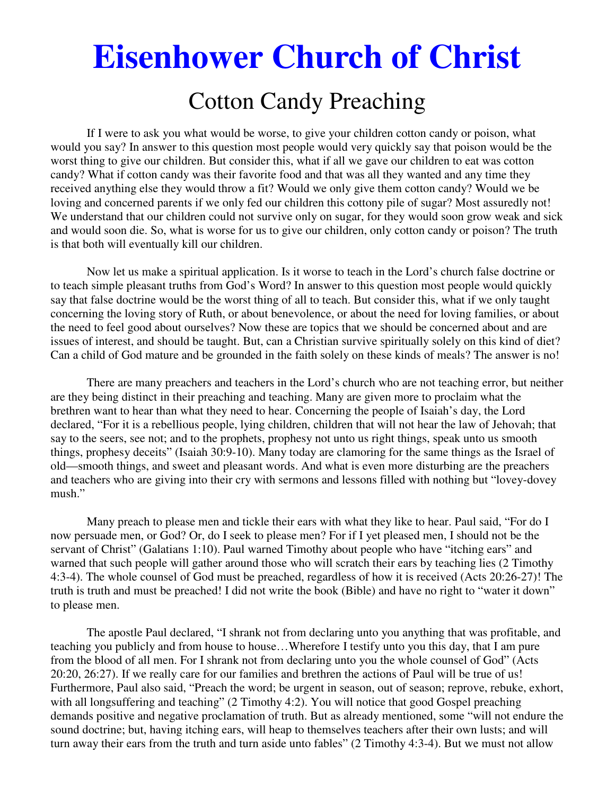# **Eisenhower Church of Christ**  Cotton Candy Preaching

 If I were to ask you what would be worse, to give your children cotton candy or poison, what would you say? In answer to this question most people would very quickly say that poison would be the worst thing to give our children. But consider this, what if all we gave our children to eat was cotton candy? What if cotton candy was their favorite food and that was all they wanted and any time they received anything else they would throw a fit? Would we only give them cotton candy? Would we be loving and concerned parents if we only fed our children this cottony pile of sugar? Most assuredly not! We understand that our children could not survive only on sugar, for they would soon grow weak and sick and would soon die. So, what is worse for us to give our children, only cotton candy or poison? The truth is that both will eventually kill our children.

 Now let us make a spiritual application. Is it worse to teach in the Lord's church false doctrine or to teach simple pleasant truths from God's Word? In answer to this question most people would quickly say that false doctrine would be the worst thing of all to teach. But consider this, what if we only taught concerning the loving story of Ruth, or about benevolence, or about the need for loving families, or about the need to feel good about ourselves? Now these are topics that we should be concerned about and are issues of interest, and should be taught. But, can a Christian survive spiritually solely on this kind of diet? Can a child of God mature and be grounded in the faith solely on these kinds of meals? The answer is no!

 There are many preachers and teachers in the Lord's church who are not teaching error, but neither are they being distinct in their preaching and teaching. Many are given more to proclaim what the brethren want to hear than what they need to hear. Concerning the people of Isaiah's day, the Lord declared, "For it is a rebellious people, lying children, children that will not hear the law of Jehovah; that say to the seers, see not; and to the prophets, prophesy not unto us right things, speak unto us smooth things, prophesy deceits" (Isaiah 30:9-10). Many today are clamoring for the same things as the Israel of old—smooth things, and sweet and pleasant words. And what is even more disturbing are the preachers and teachers who are giving into their cry with sermons and lessons filled with nothing but "lovey-dovey mush."

 Many preach to please men and tickle their ears with what they like to hear. Paul said, "For do I now persuade men, or God? Or, do I seek to please men? For if I yet pleased men, I should not be the servant of Christ" (Galatians 1:10). Paul warned Timothy about people who have "itching ears" and warned that such people will gather around those who will scratch their ears by teaching lies (2 Timothy 4:3-4). The whole counsel of God must be preached, regardless of how it is received (Acts 20:26-27)! The truth is truth and must be preached! I did not write the book (Bible) and have no right to "water it down" to please men.

 The apostle Paul declared, "I shrank not from declaring unto you anything that was profitable, and teaching you publicly and from house to house…Wherefore I testify unto you this day, that I am pure from the blood of all men. For I shrank not from declaring unto you the whole counsel of God" (Acts 20:20, 26:27). If we really care for our families and brethren the actions of Paul will be true of us! Furthermore, Paul also said, "Preach the word; be urgent in season, out of season; reprove, rebuke, exhort, with all longsuffering and teaching" (2 Timothy 4:2). You will notice that good Gospel preaching demands positive and negative proclamation of truth. But as already mentioned, some "will not endure the sound doctrine; but, having itching ears, will heap to themselves teachers after their own lusts; and will turn away their ears from the truth and turn aside unto fables" (2 Timothy 4:3-4). But we must not allow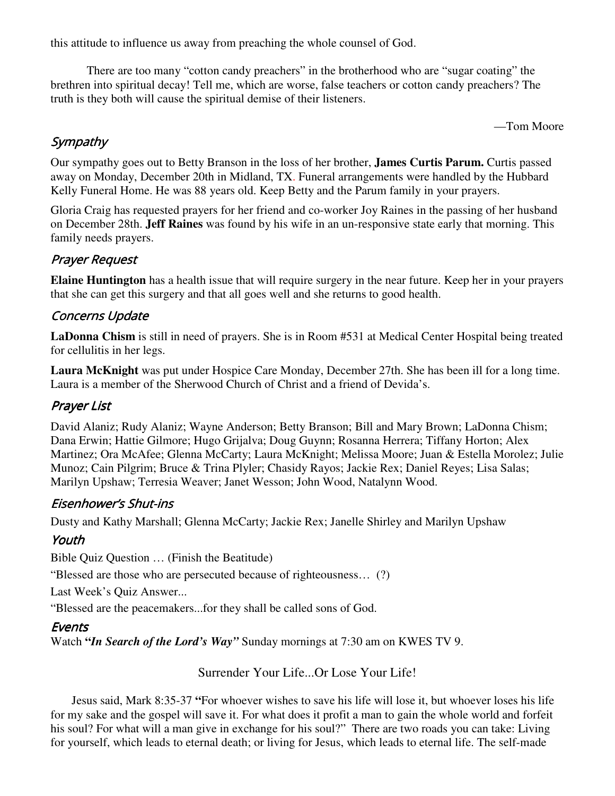this attitude to influence us away from preaching the whole counsel of God.

 There are too many "cotton candy preachers" in the brotherhood who are "sugar coating" the brethren into spiritual decay! Tell me, which are worse, false teachers or cotton candy preachers? The truth is they both will cause the spiritual demise of their listeners.

—Tom Moore

## **Sympathy**

Our sympathy goes out to Betty Branson in the loss of her brother, **James Curtis Parum.** Curtis passed away on Monday, December 20th in Midland, TX. Funeral arrangements were handled by the Hubbard Kelly Funeral Home. He was 88 years old. Keep Betty and the Parum family in your prayers.

Gloria Craig has requested prayers for her friend and co-worker Joy Raines in the passing of her husband on December 28th. **Jeff Raines** was found by his wife in an un-responsive state early that morning. This family needs prayers.

## Prayer Request

**Elaine Huntington** has a health issue that will require surgery in the near future. Keep her in your prayers that she can get this surgery and that all goes well and she returns to good health.

#### Concerns Update

**LaDonna Chism** is still in need of prayers. She is in Room #531 at Medical Center Hospital being treated for cellulitis in her legs.

**Laura McKnight** was put under Hospice Care Monday, December 27th. She has been ill for a long time. Laura is a member of the Sherwood Church of Christ and a friend of Devida's.

#### Prayer List

David Alaniz; Rudy Alaniz; Wayne Anderson; Betty Branson; Bill and Mary Brown; LaDonna Chism; Dana Erwin; Hattie Gilmore; Hugo Grijalva; Doug Guynn; Rosanna Herrera; Tiffany Horton; Alex Martinez; Ora McAfee; Glenna McCarty; Laura McKnight; Melissa Moore; Juan & Estella Morolez; Julie Munoz; Cain Pilgrim; Bruce & Trina Plyler; Chasidy Rayos; Jackie Rex; Daniel Reyes; Lisa Salas; Marilyn Upshaw; Terresia Weaver; Janet Wesson; John Wood, Natalynn Wood.

#### Eisenhower's Shut-ins

Dusty and Kathy Marshall; Glenna McCarty; Jackie Rex; Janelle Shirley and Marilyn Upshaw

## Youth

Bible Quiz Question … (Finish the Beatitude)

"Blessed are those who are persecuted because of righteousness… (?)

Last Week's Quiz Answer...

"Blessed are the peacemakers...for they shall be called sons of God.

## **Events**

Watch **"***In Search of the Lord's Way"* Sunday mornings at 7:30 am on KWES TV 9.

#### Surrender Your Life...Or Lose Your Life!

 Jesus said, Mark 8:35-37 **"**For whoever wishes to save his life will lose it, but whoever loses his life for my sake and the gospel will save it. For what does it profit a man to gain the whole world and forfeit his soul? For what will a man give in exchange for his soul?"There are two roads you can take: Living for yourself, which leads to eternal death; or living for Jesus, which leads to eternal life. The self-made